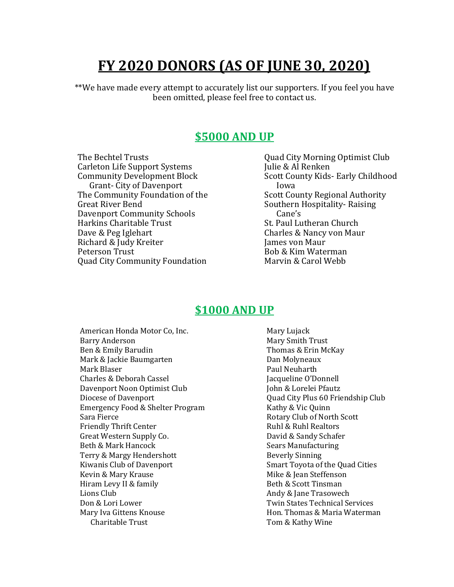# **FY 2020 DONORS (AS OF JUNE 30, 2020)**

\*\*We have made every attempt to accurately list our supporters. If you feel you have been omitted, please feel free to contact us.

#### **\$5000 AND UP**

The Bechtel Trusts Carleton Life Support Systems Community Development Block Grant- City of Davenport The Community Foundation of the Great River Bend Davenport Community Schools Harkins Charitable Trust Dave & Peg Iglehart Richard & Judy Kreiter Peterson Trust Quad City Community Foundation

Quad City Morning Optimist Club Julie & Al Renken Scott County Kids- Early Childhood Iowa Scott County Regional Authority Southern Hospitality- Raising Cane's St. Paul Lutheran Church Charles & Nancy von Maur James von Maur Bob & Kim Waterman Marvin & Carol Webb

#### **\$1000 AND UP**

American Honda Motor Co, Inc. Barry Anderson Ben & Emily Barudin Mark & Jackie Baumgarten Mark Blaser Charles & Deborah Cassel Davenport Noon Optimist Club Diocese of Davenport Emergency Food & Shelter Program Sara Fierce Friendly Thrift Center Great Western Supply Co. Beth & Mark Hancock Terry & Margy Hendershott Kiwanis Club of Davenport Kevin & Mary Krause Hiram Levy II & family Lions Club Don & Lori Lower Mary Iva Gittens Knouse Charitable Trust

Mary Lujack Mary Smith Trust Thomas & Erin McKay Dan Molyneaux Paul Neuharth Jacqueline O'Donnell John & Lorelei Pfautz Quad City Plus 60 Friendship Club Kathy & Vic Quinn Rotary Club of North Scott Ruhl & Ruhl Realtors David & Sandy Schafer Sears Manufacturing Beverly Sinning Smart Toyota of the Quad Cities Mike & Jean Steffenson Beth & Scott Tinsman Andy & Jane Trasowech Twin States Technical Services Hon. Thomas & Maria Waterman Tom & Kathy Wine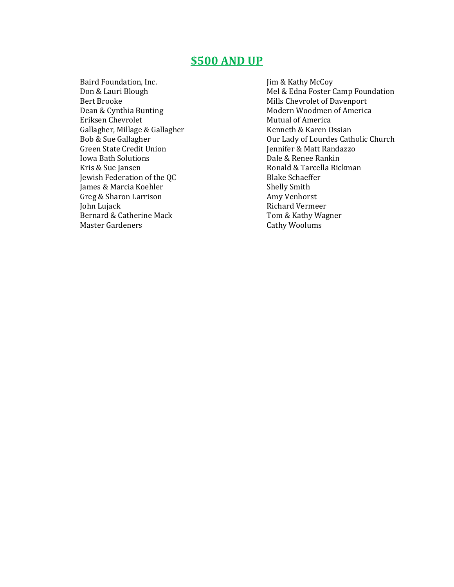#### **\$500 AND UP**

Baird Foundation, Inc. Don & Lauri Blough Bert Brooke Dean & Cynthia Bunting Eriksen Chevrolet Gallagher, Millage & Gallagher Bob & Sue Gallagher Green State Credit Union Iowa Bath Solutions Kris & Sue Jansen Jewish Federation of the QC James & Marcia Koehler Greg & Sharon Larrison John Lujack Bernard & Catherine Mack Master Gardeners

Jim & Kathy McCoy Mel & Edna Foster Camp Foundation Mills Chevrolet of Davenport Modern Woodmen of America Mutual of America Kenneth & Karen Ossian Our Lady of Lourdes Catholic Church Jennifer & Matt Randazzo Dale & Renee Rankin Ronald & Tarcella Rickman Blake Schaeffer Shelly Smith Amy Venhorst Richard Vermeer Tom & Kathy Wagner Cathy Woolums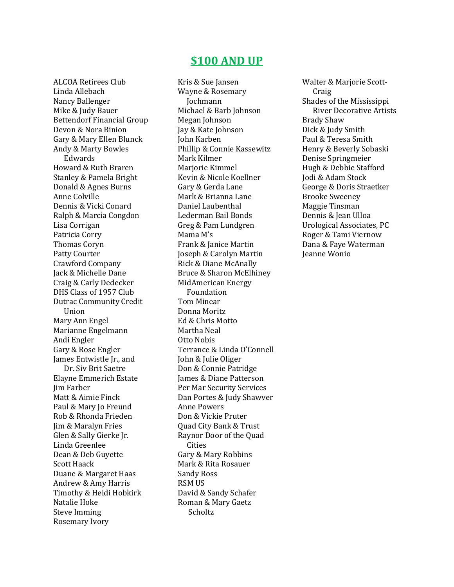#### **\$100 AND UP**

ALCOA Retirees Club Linda Allebach Nancy Ballenger Mike & Judy Bauer Bettendorf Financial Group Devon & Nora Binion Gary & Mary Ellen Blunck Andy & Marty Bowles Edwards Howard & Ruth Braren Stanley & Pamela Bright Donald & Agnes Burns Anne Colville Dennis & Vicki Conard Ralph & Marcia Congdon Lisa Corrigan Patricia Corry Thomas Coryn Patty Courter Crawford Company Jack & Michelle Dane Craig & Carly Dedecker DHS Class of 1957 Club Dutrac Community Credit Union Mary Ann Engel Marianne Engelmann Andi Engler Gary & Rose Engler James Entwistle Jr., and Dr. Siv Brit Saetre Elayne Emmerich Estate Jim Farber Matt & Aimie Finck Paul & Mary Jo Freund Rob & Rhonda Frieden Jim & Maralyn Fries Glen & Sally Gierke Jr. Linda Greenlee Dean & Deb Guyette Scott Haack Duane & Margaret Haas Andrew & Amy Harris Timothy & Heidi Hobkirk Natalie Hoke Steve Imming Rosemary Ivory

Kris & Sue Jansen Wayne & Rosemary Jochmann Michael & Barb Johnson Megan Johnson Jay & Kate Johnson John Karben Phillip & Connie Kassewitz Mark Kilmer Marjorie Kimmel Kevin & Nicole Koellner Gary & Gerda Lane Mark & Brianna Lane Daniel Laubenthal Lederman Bail Bonds Greg & Pam Lundgren Mama M's Frank & Janice Martin Joseph & Carolyn Martin Rick & Diane McAnally Bruce & Sharon McElhiney MidAmerican Energy Foundation Tom Minear Donna Moritz Ed & Chris Motto Martha Neal Otto Nobis Terrance & Linda O'Connell John & Julie Oliger Don & Connie Patridge James & Diane Patterson Per Mar Security Services Dan Portes & Judy Shawver Anne Powers Don & Vickie Pruter Quad City Bank & Trust Raynor Door of the Quad Cities Gary & Mary Robbins Mark & Rita Rosauer Sandy Ross RSM US David & Sandy Schafer Roman & Mary Gaetz Scholtz

Walter & Marjorie Scott- Craig Shades of the Mississippi River Decorative Artists Brady Shaw Dick & Judy Smith Paul & Teresa Smith Henry & Beverly Sobaski Denise Springmeier Hugh & Debbie Stafford Jodi & Adam Stock George & Doris Straetker Brooke Sweeney Maggie Tinsman Dennis & Jean Ulloa Urological Associates, PC Roger & Tami Viernow Dana & Faye Waterman Jeanne Wonio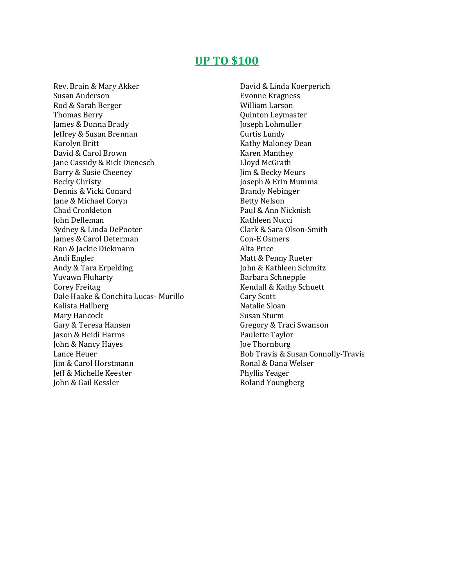#### **UP TO \$100**

Rev. Brain & Mary Akker Susan Anderson Rod & Sarah Berger Thomas Berry James & Donna Brady Jeffrey & Susan Brennan Karolyn Britt David & Carol Brown Jane Cassidy & Rick Dienesch Barry & Susie Cheeney Becky Christy Dennis & Vicki Conard Jane & Michael Coryn Chad Cronkleton John Delleman Sydney & Linda DePooter James & Carol Determan Ron & Jackie Diekmann Andi Engler Andy & Tara Erpelding Yuvawn Fluharty Corey Freitag Dale Haake & Conchita Lucas- Murillo Kalista Hallberg Mary Hancock Gary & Teresa Hansen Jason & Heidi Harms John & Nancy Hayes Lance Heuer Jim & Carol Horstmann Jeff & Michelle Keester John & Gail Kessler

David & Linda Koerperich Evonne Kragness William Larson Quinton Leymaster Joseph Lohmuller Curtis Lundy Kathy Maloney Dean Karen Manthey Lloyd McGrath Jim & Becky Meurs Joseph & Erin Mumma Brandy Nebinger Betty Nelson Paul & Ann Nicknish Kathleen Nucci Clark & Sara Olson-Smith Con-E Osmers Alta Price Matt & Penny Rueter John & Kathleen Schmitz Barbara Schnepple Kendall & Kathy Schuett Cary Scott Natalie Sloan Susan Sturm Gregory & Traci Swanson Paulette Taylor Joe Thornburg Bob Travis & Susan Connolly-Travis Ronal & Dana Welser Phyllis Yeager Roland Youngberg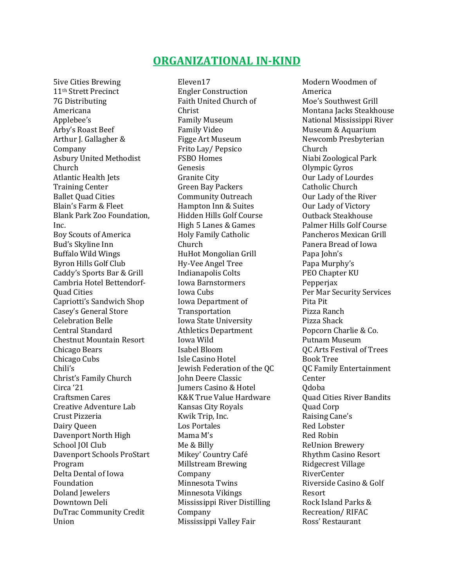#### **ORGANIZATIONAL IN-KIND**

5ive Cities Brewing 11th Strett Precinct 7G Distributing Americana Applebee's Arby's Roast Beef Arthur J. Gallagher & Company Asbury United Methodist Church Atlantic Health Jets Training Center Ballet Quad Cities Blain's Farm & Fleet Blank Park Zoo Foundation, Inc. Boy Scouts of America Bud's Skyline Inn Buffalo Wild Wings Byron Hills Golf Club Caddy's Sports Bar & Grill Cambria Hotel Bettendorf-Quad Cities Capriotti's Sandwich Shop Casey's General Store Celebration Belle Central Standard Chestnut Mountain Resort Chicago Bears Chicago Cubs Chili's Christ's Family Church Circa '21 Craftsmen Cares Creative Adventure Lab Crust Pizzeria Dairy Queen Davenport North High School JOI Club Davenport Schools ProStart Program Delta Dental of Iowa Foundation Doland Jewelers Downtown Deli DuTrac Community Credit Union

Eleven17 Engler Construction Faith United Church of Christ Family Museum Family Video Figge Art Museum Frito Lay/ Pepsico FSBO Homes Genesis Granite City Green Bay Packers Community Outreach Hampton Inn & Suites Hidden Hills Golf Course High 5 Lanes & Games Holy Family Catholic Church HuHot Mongolian Grill Hy-Vee Angel Tree Indianapolis Colts Iowa Barnstormers Iowa Cubs Iowa Department of Transportation Iowa State University Athletics Department Iowa Wild Isabel Bloom Isle Casino Hotel Jewish Federation of the QC John Deere Classic Jumers Casino & Hotel K&K True Value Hardware Kansas City Royals Kwik Trip, Inc. Los Portales Mama M's Me & Billy Mikey' Country Café Millstream Brewing Company Minnesota Twins Minnesota Vikings Mississippi River Distilling Company Mississippi Valley Fair

Modern Woodmen of America Moe's Southwest Grill Montana Jacks Steakhouse National Mississippi River Museum & Aquarium Newcomb Presbyterian Church Niabi Zoological Park Olympic Gyros Our Lady of Lourdes Catholic Church Our Lady of the River Our Lady of Victory Outback Steakhouse Palmer Hills Golf Course Pancheros Mexican Grill Panera Bread of Iowa Papa John's Papa Murphy's PEO Chapter KU Pepperjax Per Mar Security Services Pita Pit Pizza Ranch Pizza Shack Popcorn Charlie & Co. Putnam Museum QC Arts Festival of Trees Book Tree QC Family Entertainment Center Qdoba Quad Cities River Bandits Quad Corp Raising Cane's Red Lobster Red Robin ReUnion Brewery Rhythm Casino Resort Ridgecrest Village RiverCenter Riverside Casino & Golf Resort Rock Island Parks & Recreation/ RIFAC Ross' Restaurant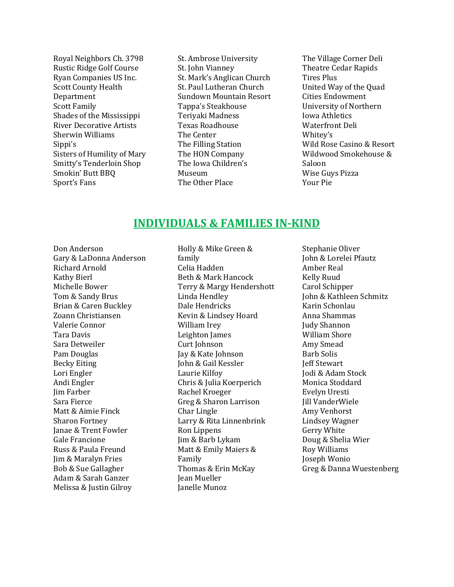Royal Neighbors Ch. 3798 Rustic Ridge Golf Course Ryan Companies US Inc. Scott County Health Department Scott Family Shades of the Mississippi River Decorative Artists Sherwin Williams Sippi's Sisters of Humility of Mary Smitty's Tenderloin Shop Smokin' Butt BBQ Sport's Fans

St. Ambrose University St. John Vianney St. Mark's Anglican Church St. Paul Lutheran Church Sundown Mountain Resort Tappa's Steakhouse Teriyaki Madness Texas Roadhouse The Center The Filling Station The HON Company The Iowa Children's Museum The Other Place

The Village Corner Deli Theatre Cedar Rapids Tires Plus United Way of the Quad Cities Endowment University of Northern Iowa Athletics Waterfront Deli Whitey's Wild Rose Casino & Resort Wildwood Smokehouse & Saloon Wise Guys Pizza Your Pie

#### **INDIVIDUALS & FAMILIES IN-KIND**

Don Anderson Gary & LaDonna Anderson Richard Arnold Kathy Bierl Michelle Bower Tom & Sandy Brus Brian & Caren Buckley Zoann Christiansen Valerie Connor Tara Davis Sara Detweiler Pam Douglas Becky Eiting Lori Engler Andi Engler Jim Farber Sara Fierce Matt & Aimie Finck Sharon Fortney Janae & Trent Fowler Gale Francione Russ & Paula Freund Jim & Maralyn Fries Bob & Sue Gallagher Adam & Sarah Ganzer Melissa & Justin Gilroy

Holly & Mike Green & family Celia Hadden Beth & Mark Hancock Terry & Margy Hendershott Linda Hendley Dale Hendricks Kevin & Lindsey Hoard William Irey Leighton James Curt Johnson Jay & Kate Johnson John & Gail Kessler Laurie Kilfoy Chris & Julia Koerperich Rachel Kroeger Greg & Sharon Larrison Char Lingle Larry & Rita Linnenbrink Ron Lippens Jim & Barb Lykam Matt & Emily Maiers & Family Thomas & Erin McKay Jean Mueller Janelle Munoz

Stephanie Oliver John & Lorelei Pfautz Amber Real Kelly Ruud Carol Schipper John & Kathleen Schmitz Karin Schonlau Anna Shammas Judy Shannon William Shore Amy Smead Barb Solis Jeff Stewart Jodi & Adam Stock Monica Stoddard Evelyn Uresti Jill VanderWiele Amy Venhorst Lindsey Wagner Gerry White Doug & Shelia Wier Roy Williams Joseph Wonio Greg & Danna Wuestenberg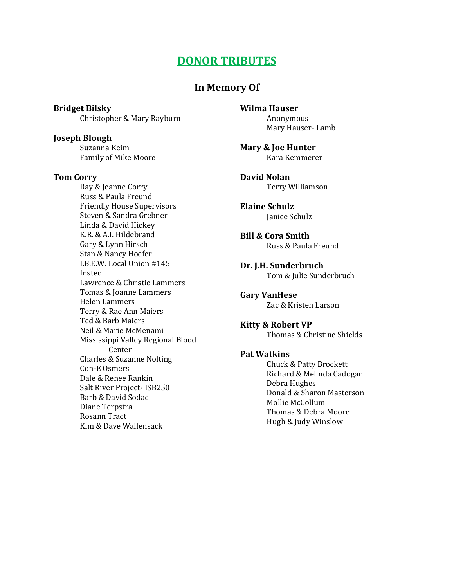### **DONOR TRIBUTES**

#### **In Memory Of**

**Bridget Bilsky** Christopher & Mary Rayburn

**Joseph Blough** Suzanna Keim Family of Mike Moore

#### **Tom Corry**

Ray & Jeanne Corry Russ & Paula Freund Friendly House Supervisors Steven & Sandra Grebner Linda & David Hickey K.R. & A.I. Hildebrand Gary & Lynn Hirsch Stan & Nancy Hoefer I.B.E.W. Local Union #145 Instec Lawrence & Christie Lammers Tomas & Joanne Lammers Helen Lammers Terry & Rae Ann Maiers Ted & Barb Maiers Neil & Marie McMenami Mississippi Valley Regional Blood Center Charles & Suzanne Nolting Con-E Osmers Dale & Renee Rankin Salt River Project- ISB250 Barb & David Sodac Diane Terpstra Rosann Tract Kim & Dave Wallensack

**Wilma Hauser** Anonymous Mary Hauser- Lamb

**Mary & Joe Hunter** Kara Kemmerer

**David Nolan** Terry Williamson

**Elaine Schulz** Janice Schulz

**Bill & Cora Smith** Russ & Paula Freund

**Dr. J.H. Sunderbruch** Tom & Julie Sunderbruch

**Gary VanHese** Zac & Kristen Larson

**Kitty & Robert VP** Thomas & Christine Shields

#### **Pat Watkins**

Chuck & Patty Brockett Richard & Melinda Cadogan Debra Hughes Donald & Sharon Masterson Mollie McCollum Thomas & Debra Moore Hugh & Judy Winslow